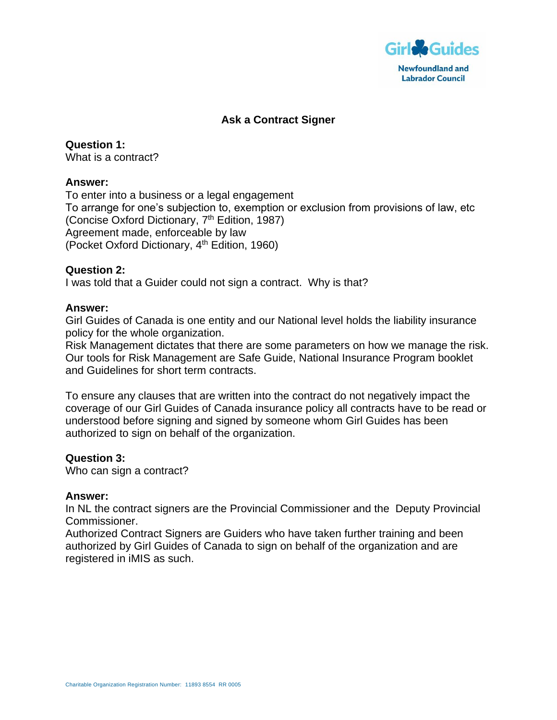

# **Ask a Contract Signer**

**Question 1:** What is a contract?

#### **Answer:**

To enter into a business or a legal engagement To arrange for one's subjection to, exemption or exclusion from provisions of law, etc (Concise Oxford Dictionary, 7<sup>th</sup> Edition, 1987) Agreement made, enforceable by law (Pocket Oxford Dictionary, 4<sup>th</sup> Edition, 1960)

#### **Question 2:**

I was told that a Guider could not sign a contract. Why is that?

#### **Answer:**

Girl Guides of Canada is one entity and our National level holds the liability insurance policy for the whole organization.

Risk Management dictates that there are some parameters on how we manage the risk. Our tools for Risk Management are Safe Guide, National Insurance Program booklet and Guidelines for short term contracts.

To ensure any clauses that are written into the contract do not negatively impact the coverage of our Girl Guides of Canada insurance policy all contracts have to be read or understood before signing and signed by someone whom Girl Guides has been authorized to sign on behalf of the organization.

### **Question 3:**

Who can sign a contract?

#### **Answer:**

In NL the contract signers are the Provincial Commissioner and the Deputy Provincial Commissioner.

Authorized Contract Signers are Guiders who have taken further training and been authorized by Girl Guides of Canada to sign on behalf of the organization and are registered in iMIS as such.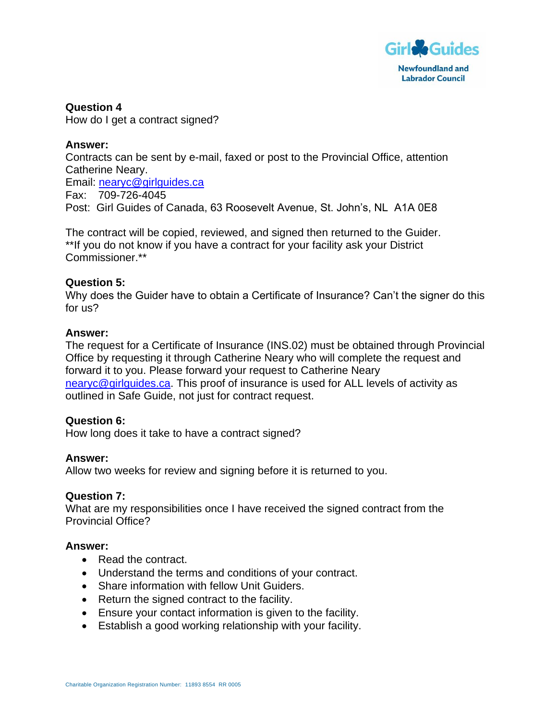

**Question 4** How do I get a contract signed?

## **Answer:**

Contracts can be sent by e-mail, faxed or post to the Provincial Office, attention Catherine Neary. Email: [nearyc@girlguides.ca](mailto:nearyc@girlguides.ca) Fax: 709-726-4045 Post: Girl Guides of Canada, 63 Roosevelt Avenue, St. John's, NL A1A 0E8

The contract will be copied, reviewed, and signed then returned to the Guider. \*\*If you do not know if you have a contract for your facility ask your District Commissioner.\*\*

## **Question 5:**

Why does the Guider have to obtain a Certificate of Insurance? Can't the signer do this for us?

### **Answer:**

The request for a Certificate of Insurance (INS.02) must be obtained through Provincial Office by requesting it through Catherine Neary who will complete the request and forward it to you. Please forward your request to Catherine Neary [nearyc@girlguides.ca.](mailto:nearyc@girlguides.ca) This proof of insurance is used for ALL levels of activity as outlined in Safe Guide, not just for contract request.

# **Question 6:**

How long does it take to have a contract signed?

### **Answer:**

Allow two weeks for review and signing before it is returned to you.

### **Question 7:**

What are my responsibilities once I have received the signed contract from the Provincial Office?

### **Answer:**

- Read the contract.
- Understand the terms and conditions of your contract.
- Share information with fellow Unit Guiders.
- Return the signed contract to the facility.
- Ensure your contact information is given to the facility.
- Establish a good working relationship with your facility.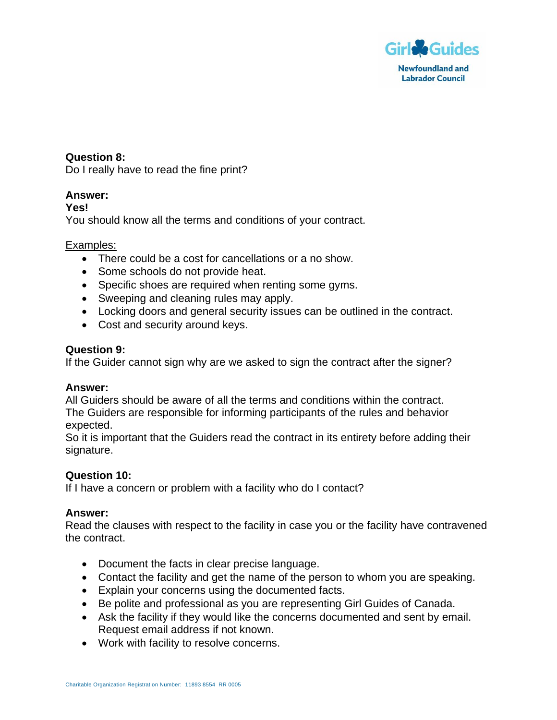

# **Question 8:**

Do I really have to read the fine print?

# **Answer:**

### **Yes!**

You should know all the terms and conditions of your contract.

## Examples:

- There could be a cost for cancellations or a no show.
- Some schools do not provide heat.
- Specific shoes are required when renting some gyms.
- Sweeping and cleaning rules may apply.
- Locking doors and general security issues can be outlined in the contract.
- Cost and security around keys.

### **Question 9:**

If the Guider cannot sign why are we asked to sign the contract after the signer?

### **Answer:**

All Guiders should be aware of all the terms and conditions within the contract. The Guiders are responsible for informing participants of the rules and behavior expected.

So it is important that the Guiders read the contract in its entirety before adding their signature.

# **Question 10:**

If I have a concern or problem with a facility who do I contact?

### **Answer:**

Read the clauses with respect to the facility in case you or the facility have contravened the contract.

- Document the facts in clear precise language.
- Contact the facility and get the name of the person to whom you are speaking.
- Explain your concerns using the documented facts.
- Be polite and professional as you are representing Girl Guides of Canada.
- Ask the facility if they would like the concerns documented and sent by email. Request email address if not known.
- Work with facility to resolve concerns.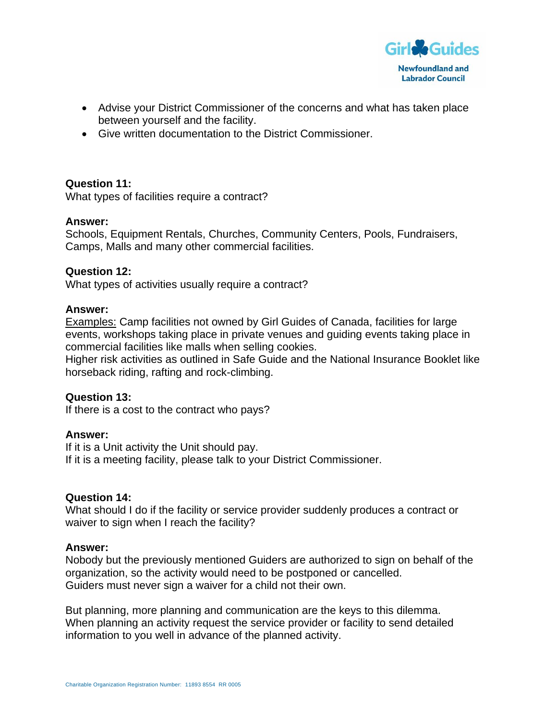

- Advise your District Commissioner of the concerns and what has taken place between yourself and the facility.
- Give written documentation to the District Commissioner.

### **Question 11:**

What types of facilities require a contract?

### **Answer:**

Schools, Equipment Rentals, Churches, Community Centers, Pools, Fundraisers, Camps, Malls and many other commercial facilities.

#### **Question 12:**

What types of activities usually require a contract?

#### **Answer:**

Examples: Camp facilities not owned by Girl Guides of Canada, facilities for large events, workshops taking place in private venues and guiding events taking place in commercial facilities like malls when selling cookies.

Higher risk activities as outlined in Safe Guide and the National Insurance Booklet like horseback riding, rafting and rock-climbing.

### **Question 13:**

If there is a cost to the contract who pays?

### **Answer:**

If it is a Unit activity the Unit should pay. If it is a meeting facility, please talk to your District Commissioner.

### **Question 14:**

What should I do if the facility or service provider suddenly produces a contract or waiver to sign when I reach the facility?

#### **Answer:**

Nobody but the previously mentioned Guiders are authorized to sign on behalf of the organization, so the activity would need to be postponed or cancelled. Guiders must never sign a waiver for a child not their own.

But planning, more planning and communication are the keys to this dilemma. When planning an activity request the service provider or facility to send detailed information to you well in advance of the planned activity.